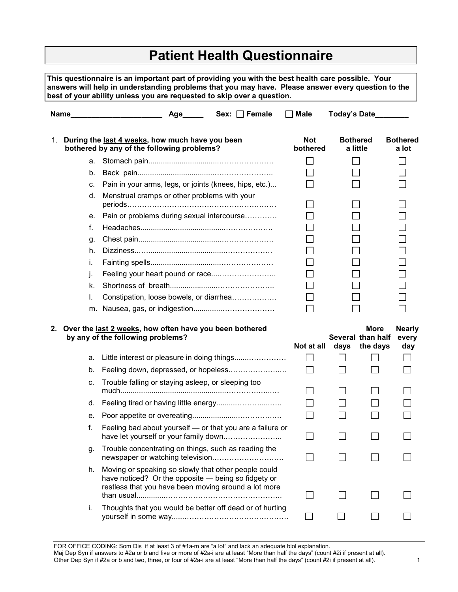## **Patient Health Questionnaire**

|    |    | $Sex:$ Female<br>Age<br><u>Name ___________________</u>                                                                                                             | <b>Male</b>            |                 | Today's Date              |                          |
|----|----|---------------------------------------------------------------------------------------------------------------------------------------------------------------------|------------------------|-----------------|---------------------------|--------------------------|
| 1. |    | During the last 4 weeks, how much have you been<br>bothered by any of the following problems?                                                                       | <b>Not</b><br>bothered | <b>Bothered</b> | a little                  | <b>Bothered</b><br>a lot |
|    | а. |                                                                                                                                                                     |                        |                 |                           |                          |
|    | b. |                                                                                                                                                                     |                        |                 |                           |                          |
|    | c. | Pain in your arms, legs, or joints (knees, hips, etc.)                                                                                                              |                        |                 |                           |                          |
|    | d. | Menstrual cramps or other problems with your                                                                                                                        |                        |                 |                           |                          |
|    | е. | Pain or problems during sexual intercourse                                                                                                                          |                        |                 |                           |                          |
|    | f. |                                                                                                                                                                     |                        |                 |                           |                          |
|    | g. |                                                                                                                                                                     |                        |                 |                           |                          |
|    | h. |                                                                                                                                                                     |                        |                 |                           |                          |
|    | i. |                                                                                                                                                                     |                        |                 |                           |                          |
|    | j. |                                                                                                                                                                     |                        |                 |                           |                          |
|    | k. |                                                                                                                                                                     |                        |                 |                           |                          |
|    | I. | Constipation, loose bowels, or diarrhea                                                                                                                             |                        |                 |                           |                          |
|    |    |                                                                                                                                                                     |                        |                 |                           |                          |
|    |    | 2. Over the last 2 weeks, how often have you been bothered<br>by any of the following problems?                                                                     |                        |                 | More<br>Several than half | <b>Nearly</b><br>every   |
|    |    |                                                                                                                                                                     | Not at all             | days            | the days                  | day                      |
|    | a. |                                                                                                                                                                     |                        |                 |                           |                          |
|    | b. | Feeling down, depressed, or hopeless                                                                                                                                |                        |                 |                           |                          |
|    | c. | Trouble falling or staying asleep, or sleeping too                                                                                                                  |                        |                 |                           |                          |
|    |    |                                                                                                                                                                     |                        |                 |                           |                          |
|    |    |                                                                                                                                                                     |                        |                 |                           |                          |
|    | е. |                                                                                                                                                                     |                        |                 |                           |                          |
|    | f. | Feeling bad about yourself - or that you are a failure or<br>have let yourself or your family down                                                                  |                        |                 |                           |                          |
|    | g. | Trouble concentrating on things, such as reading the                                                                                                                |                        |                 |                           |                          |
|    | h. | Moving or speaking so slowly that other people could<br>have noticed? Or the opposite - being so fidgety or<br>restless that you have been moving around a lot more |                        |                 |                           |                          |
|    | i. | Thoughts that you would be better off dead or of hurting                                                                                                            |                        |                 |                           |                          |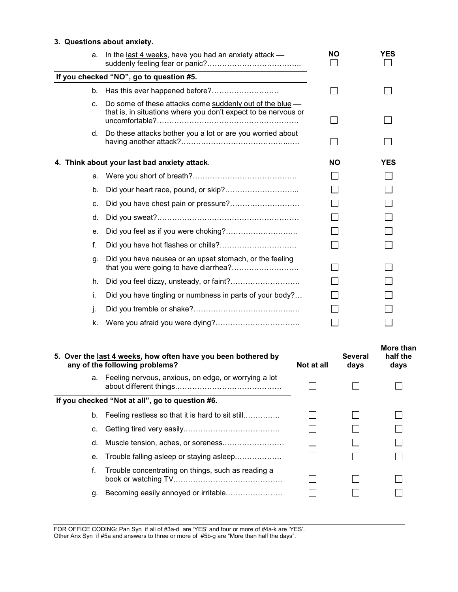## **3. Questions about anxiety.**

| a. | In the last 4 weeks, have you had an anxiety attack —                                                                      | <b>NO</b> | <b>YES</b> |
|----|----------------------------------------------------------------------------------------------------------------------------|-----------|------------|
|    | If you checked "NO", go to question #5.                                                                                    |           |            |
| b. |                                                                                                                            |           |            |
| C. | Do some of these attacks come suddenly out of the blue -<br>that is, in situations where you don't expect to be nervous or |           |            |
| d. | Do these attacks bother you a lot or are you worried about                                                                 |           |            |
|    | 4. Think about your last bad anxiety attack.                                                                               | <b>NO</b> | <b>YES</b> |
| a. |                                                                                                                            |           |            |
| b. |                                                                                                                            |           |            |
| c. |                                                                                                                            |           |            |
| d. |                                                                                                                            |           |            |
| е. |                                                                                                                            |           |            |
| f. |                                                                                                                            |           |            |
| g. | Did you have nausea or an upset stomach, or the feeling                                                                    |           |            |
| h. | Did you feel dizzy, unsteady, or faint?                                                                                    |           |            |
| i. | Did you have tingling or numbness in parts of your body?                                                                   |           |            |
| j. |                                                                                                                            |           |            |
| k. |                                                                                                                            |           |            |
|    |                                                                                                                            |           |            |

|    | 5. Over the last 4 weeks, how often have you been bothered by<br>any of the following problems? | Not at all | <b>Several</b><br>days | More than<br>half the<br>days |
|----|-------------------------------------------------------------------------------------------------|------------|------------------------|-------------------------------|
| a. | Feeling nervous, anxious, on edge, or worrying a lot                                            |            |                        |                               |
|    | If you checked "Not at all", go to question #6.                                                 |            |                        |                               |
| b. | Feeling restless so that it is hard to sit still                                                |            |                        |                               |
| c. |                                                                                                 |            |                        |                               |
| d. |                                                                                                 |            |                        |                               |
| е. | Trouble falling asleep or staying asleep                                                        |            |                        |                               |
| f. | Trouble concentrating on things, such as reading a                                              |            |                        |                               |
| g. |                                                                                                 |            |                        |                               |

FOR OFFICE CODING: Pan Syn if all of #3a-d are 'YES' and four or more of #4a-k are 'YES'. Other Anx Syn if #5a and answers to three or more of #5b-g are "More than half the days".